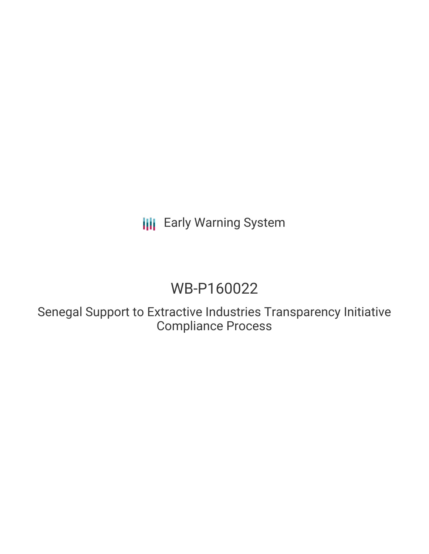**III** Early Warning System

# WB-P160022

Senegal Support to Extractive Industries Transparency Initiative Compliance Process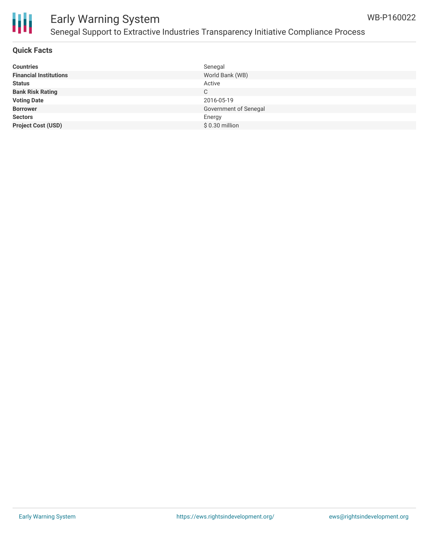



### Early Warning System Senegal Support to Extractive Industries Transparency Initiative Compliance Process

#### **Quick Facts**

| <b>Countries</b>              | Senegal               |
|-------------------------------|-----------------------|
| <b>Financial Institutions</b> | World Bank (WB)       |
| <b>Status</b>                 | Active                |
| <b>Bank Risk Rating</b>       | C                     |
| <b>Voting Date</b>            | 2016-05-19            |
| <b>Borrower</b>               | Government of Senegal |
| <b>Sectors</b>                | Energy                |
| <b>Project Cost (USD)</b>     | $$0.30$ million       |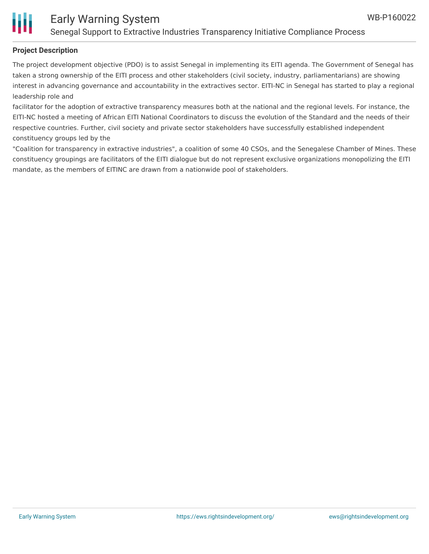

### **Project Description**

The project development objective (PDO) is to assist Senegal in implementing its EITI agenda. The Government of Senegal has taken a strong ownership of the EITI process and other stakeholders (civil society, industry, parliamentarians) are showing interest in advancing governance and accountability in the extractives sector. EITI-NC in Senegal has started to play a regional leadership role and

facilitator for the adoption of extractive transparency measures both at the national and the regional levels. For instance, the EITI-NC hosted a meeting of African EITI National Coordinators to discuss the evolution of the Standard and the needs of their respective countries. Further, civil society and private sector stakeholders have successfully established independent constituency groups led by the

"Coalition for transparency in extractive industries", a coalition of some 40 CSOs, and the Senegalese Chamber of Mines. These constituency groupings are facilitators of the EITI dialogue but do not represent exclusive organizations monopolizing the EITI mandate, as the members of EITINC are drawn from a nationwide pool of stakeholders.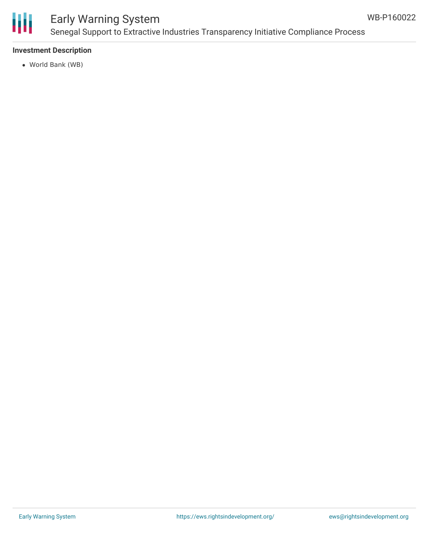

### Early Warning System Senegal Support to Extractive Industries Transparency Initiative Compliance Process

### **Investment Description**

World Bank (WB)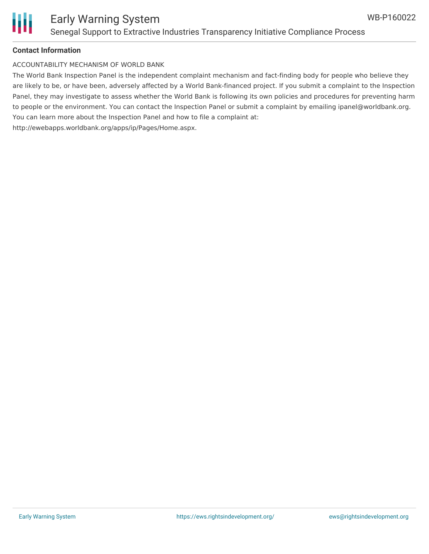

#### **Contact Information**

ACCOUNTABILITY MECHANISM OF WORLD BANK

The World Bank Inspection Panel is the independent complaint mechanism and fact-finding body for people who believe they are likely to be, or have been, adversely affected by a World Bank-financed project. If you submit a complaint to the Inspection Panel, they may investigate to assess whether the World Bank is following its own policies and procedures for preventing harm to people or the environment. You can contact the Inspection Panel or submit a complaint by emailing ipanel@worldbank.org. You can learn more about the Inspection Panel and how to file a complaint at: http://ewebapps.worldbank.org/apps/ip/Pages/Home.aspx.